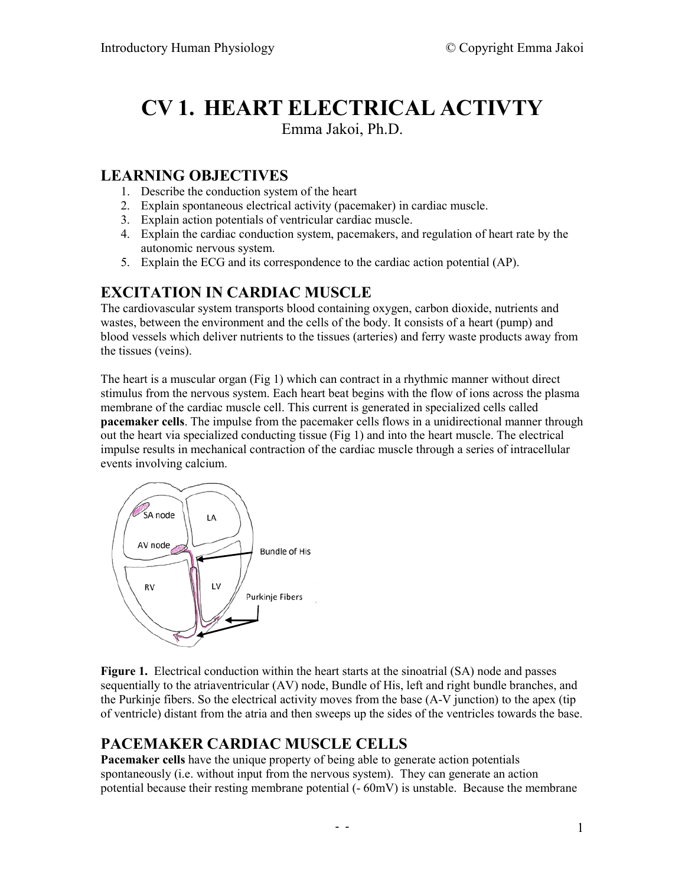# **CV 1. HEART ELECTRICAL ACTIVTY**

Emma Jakoi, Ph.D.

## **LEARNING OBJECTIVES**

- 1. Describe the conduction system of the heart
- 2. Explain spontaneous electrical activity (pacemaker) in cardiac muscle.
- 3. Explain action potentials of ventricular cardiac muscle.
- 4. Explain the cardiac conduction system, pacemakers, and regulation of heart rate by the autonomic nervous system.
- 5. Explain the ECG and its correspondence to the cardiac action potential (AP).

## **EXCITATION IN CARDIAC MUSCLE**

The cardiovascular system transports blood containing oxygen, carbon dioxide, nutrients and wastes, between the environment and the cells of the body. It consists of a heart (pump) and blood vessels which deliver nutrients to the tissues (arteries) and ferry waste products away from the tissues (veins).

The heart is a muscular organ (Fig 1) which can contract in a rhythmic manner without direct stimulus from the nervous system. Each heart beat begins with the flow of ions across the plasma membrane of the cardiac muscle cell. This current is generated in specialized cells called **pacemaker cells**. The impulse from the pacemaker cells flows in a unidirectional manner through out the heart via specialized conducting tissue (Fig 1) and into the heart muscle. The electrical impulse results in mechanical contraction of the cardiac muscle through a series of intracellular events involving calcium.



**Figure 1.** Electrical conduction within the heart starts at the sinoatrial (SA) node and passes sequentially to the atriaventricular (AV) node, Bundle of His, left and right bundle branches, and the Purkinje fibers. So the electrical activity moves from the base (A-V junction) to the apex (tip of ventricle) distant from the atria and then sweeps up the sides of the ventricles towards the base.

# **PACEMAKER CARDIAC MUSCLE CELLS**

**Pacemaker cells** have the unique property of being able to generate action potentials spontaneously (i.e. without input from the nervous system). They can generate an action potential because their resting membrane potential  $(-60 \text{mV})$  is unstable. Because the membrane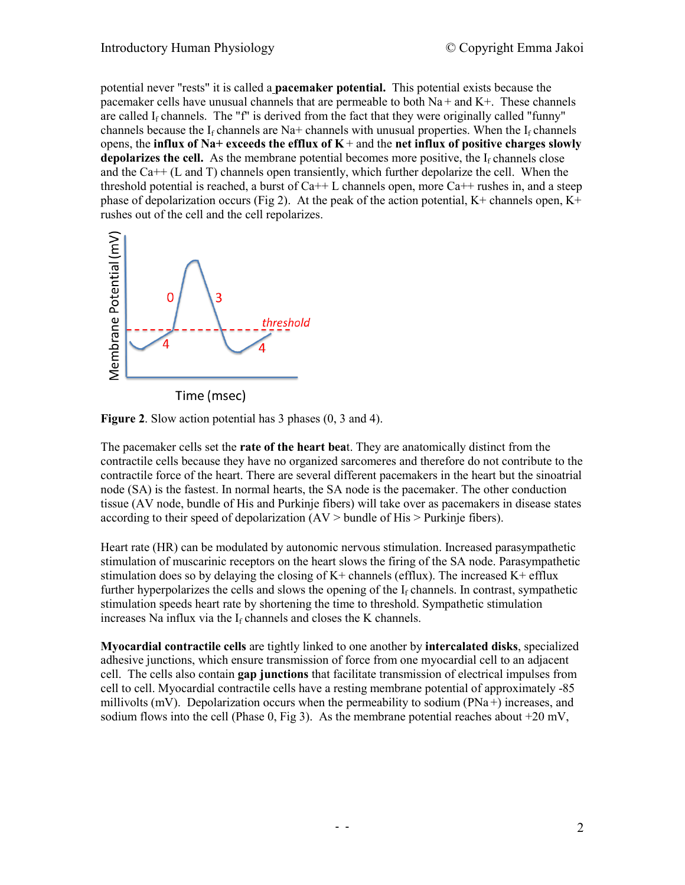potential never "rests" it is called a **pacemaker potential.** This potential exists because the pacemaker cells have unusual channels that are permeable to both  $Na +$  and  $K<sup>+</sup>$ . These channels are called  $I_f$  channels. The "f" is derived from the fact that they were originally called "funny" channels because the  $I_f$  channels are Na+ channels with unusual properties. When the  $I_f$  channels opens, the **influx of Na+ exceeds the efflux of K** + and the **net influx of positive charges slowly depolarizes the cell.** As the membrane potential becomes more positive, the  $I_f$  channels close and the Ca++ (L and T) channels open transiently, which further depolarize the cell. When the threshold potential is reached, a burst of  $Ca++ L$  channels open, more  $Ca++$  rushes in, and a steep phase of depolarization occurs (Fig 2). At the peak of the action potential,  $K^+$  channels open,  $K^+$ rushes out of the cell and the cell repolarizes.



Time (msec)

**Figure 2**. Slow action potential has 3 phases (0, 3 and 4).

The pacemaker cells set the **rate of the heart bea**t. They are anatomically distinct from the contractile cells because they have no organized sarcomeres and therefore do not contribute to the contractile force of the heart. There are several different pacemakers in the heart but the sinoatrial node (SA) is the fastest. In normal hearts, the SA node is the pacemaker. The other conduction tissue (AV node, bundle of His and Purkinje fibers) will take over as pacemakers in disease states according to their speed of depolarization  $(AV > bundle of His > Purkinie fibers)$ .

Heart rate (HR) can be modulated by autonomic nervous stimulation. Increased parasympathetic stimulation of muscarinic receptors on the heart slows the firing of the SA node. Parasympathetic stimulation does so by delaying the closing of  $K<sup>+</sup>$  channels (efflux). The increased  $K<sup>+</sup>$  efflux further hyperpolarizes the cells and slows the opening of the  $I_f$  channels. In contrast, sympathetic stimulation speeds heart rate by shortening the time to threshold. Sympathetic stimulation increases Na influx via the  $I_f$  channels and closes the K channels.

**Myocardial contractile cells** are tightly linked to one another by **intercalated disks**, specialized adhesive junctions, which ensure transmission of force from one myocardial cell to an adjacent cell. The cells also contain **gap junctions** that facilitate transmission of electrical impulses from cell to cell. Myocardial contractile cells have a resting membrane potential of approximately -85 millivolts (mV). Depolarization occurs when the permeability to sodium ( $PNa +$ ) increases, and sodium flows into the cell (Phase 0, Fig 3). As the membrane potential reaches about  $+20$  mV,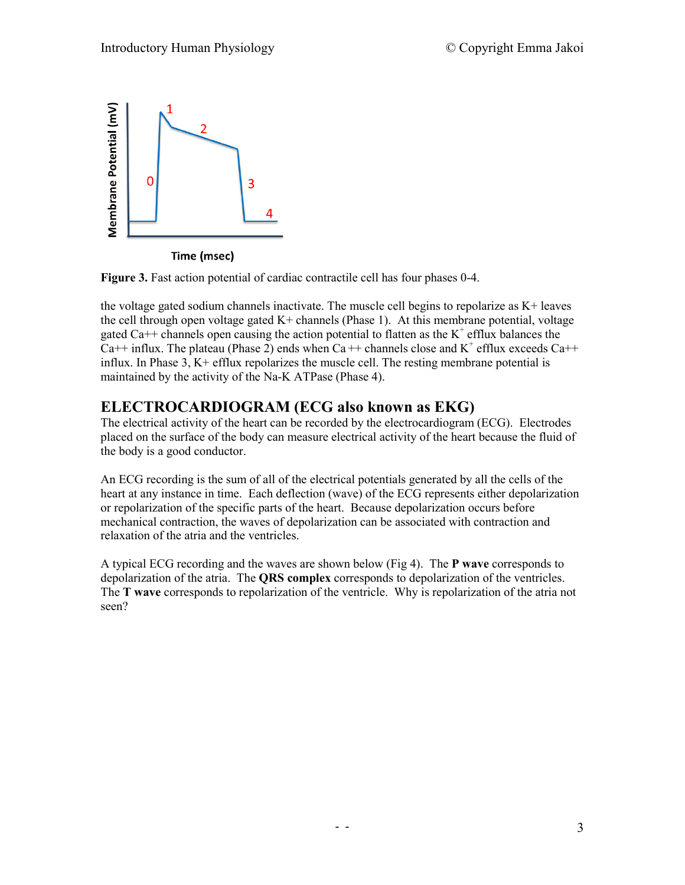

Time (msec)

**Figure 3.** Fast action potential of cardiac contractile cell has four phases 0-4.

the voltage gated sodium channels inactivate. The muscle cell begins to repolarize as K+ leaves the cell through open voltage gated  $K<sup>+</sup>$  channels (Phase 1). At this membrane potential, voltage gated Ca++ channels open causing the action potential to flatten as the  $K^+$  efflux balances the Ca<sup>++</sup> influx. The plateau (Phase 2) ends when Ca<sup>++</sup> channels close and  $K^+$  efflux exceeds Ca<sup>++</sup> influx. In Phase 3, K+ efflux repolarizes the muscle cell. The resting membrane potential is maintained by the activity of the Na-K ATPase (Phase 4).

#### **ELECTROCARDIOGRAM (ECG also known as EKG)**

The electrical activity of the heart can be recorded by the electrocardiogram (ECG). Electrodes placed on the surface of the body can measure electrical activity of the heart because the fluid of the body is a good conductor.

An ECG recording is the sum of all of the electrical potentials generated by all the cells of the heart at any instance in time. Each deflection (wave) of the ECG represents either depolarization or repolarization of the specific parts of the heart. Because depolarization occurs before mechanical contraction, the waves of depolarization can be associated with contraction and relaxation of the atria and the ventricles.

A typical ECG recording and the waves are shown below (Fig 4). The **P wave** corresponds to depolarization of the atria. The **QRS complex** corresponds to depolarization of the ventricles. The **T wave** corresponds to repolarization of the ventricle. Why is repolarization of the atria not seen?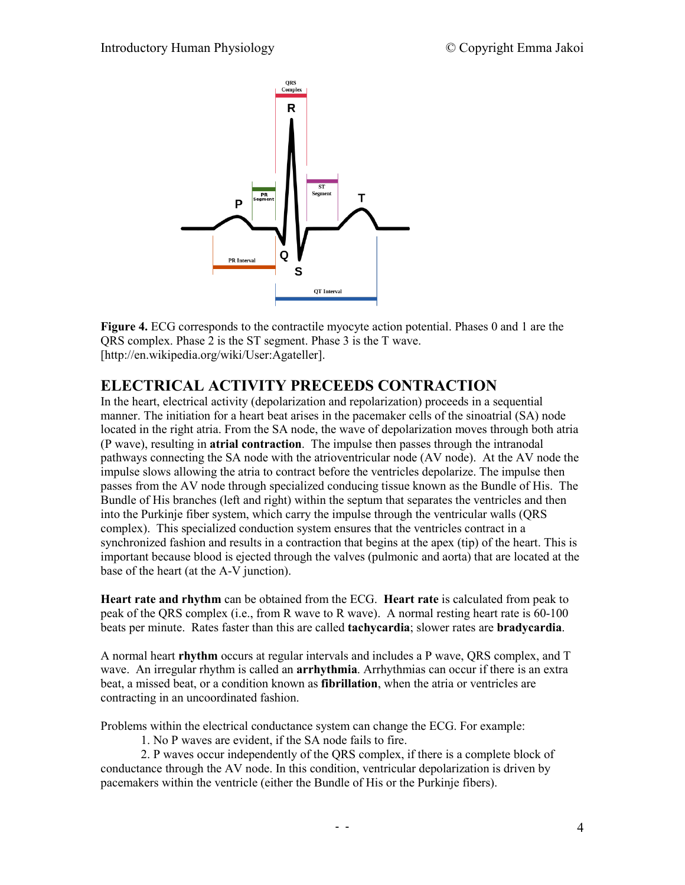

**Figure 4.** ECG corresponds to the contractile myocyte action potential. Phases 0 and 1 are the QRS complex. Phase 2 is the ST segment. Phase 3 is the T wave. [http://en.wikipedia.org/wiki/User:Agateller].

# **ELECTRICAL ACTIVITY PRECEEDS CONTRACTION**

In the heart, electrical activity (depolarization and repolarization) proceeds in a sequential manner. The initiation for a heart beat arises in the pacemaker cells of the sinoatrial (SA) node located in the right atria. From the SA node, the wave of depolarization moves through both atria (P wave), resulting in **atrial contraction**. The impulse then passes through the intranodal pathways connecting the SA node with the atrioventricular node (AV node). At the AV node the impulse slows allowing the atria to contract before the ventricles depolarize. The impulse then passes from the AV node through specialized conducing tissue known as the Bundle of His. The Bundle of His branches (left and right) within the septum that separates the ventricles and then into the Purkinje fiber system, which carry the impulse through the ventricular walls (QRS complex). This specialized conduction system ensures that the ventricles contract in a synchronized fashion and results in a contraction that begins at the apex (tip) of the heart. This is important because blood is ejected through the valves (pulmonic and aorta) that are located at the base of the heart (at the A-V junction).

**Heart rate and rhythm** can be obtained from the ECG. **Heart rate** is calculated from peak to peak of the QRS complex (i.e., from R wave to R wave). A normal resting heart rate is 60-100 beats per minute. Rates faster than this are called **tachycardia**; slower rates are **bradycardia**.

A normal heart **rhythm** occurs at regular intervals and includes a P wave, QRS complex, and T wave. An irregular rhythm is called an **arrhythmia**. Arrhythmias can occur if there is an extra beat, a missed beat, or a condition known as **fibrillation**, when the atria or ventricles are contracting in an uncoordinated fashion.

Problems within the electrical conductance system can change the ECG. For example:

1. No P waves are evident, if the SA node fails to fire.

2. P waves occur independently of the QRS complex, if there is a complete block of conductance through the AV node. In this condition, ventricular depolarization is driven by pacemakers within the ventricle (either the Bundle of His or the Purkinje fibers).